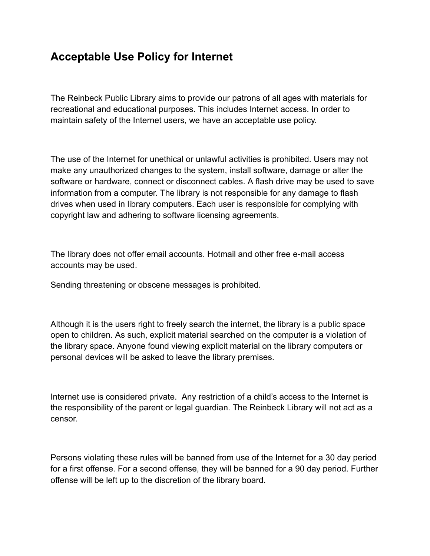## **Acceptable Use Policy for Internet**

The Reinbeck Public Library aims to provide our patrons of all ages with materials for recreational and educational purposes. This includes Internet access. In order to maintain safety of the Internet users, we have an acceptable use policy.

The use of the Internet for unethical or unlawful activities is prohibited. Users may not make any unauthorized changes to the system, install software, damage or alter the software or hardware, connect or disconnect cables. A flash drive may be used to save information from a computer. The library is not responsible for any damage to flash drives when used in library computers. Each user is responsible for complying with copyright law and adhering to software licensing agreements.

The library does not offer email accounts. Hotmail and other free e-mail access accounts may be used.

Sending threatening or obscene messages is prohibited.

Although it is the users right to freely search the internet, the library is a public space open to children. As such, explicit material searched on the computer is a violation of the library space. Anyone found viewing explicit material on the library computers or personal devices will be asked to leave the library premises.

Internet use is considered private. Any restriction of a child's access to the Internet is the responsibility of the parent or legal guardian. The Reinbeck Library will not act as a censor.

Persons violating these rules will be banned from use of the Internet for a 30 day period for a first offense. For a second offense, they will be banned for a 90 day period. Further offense will be left up to the discretion of the library board.